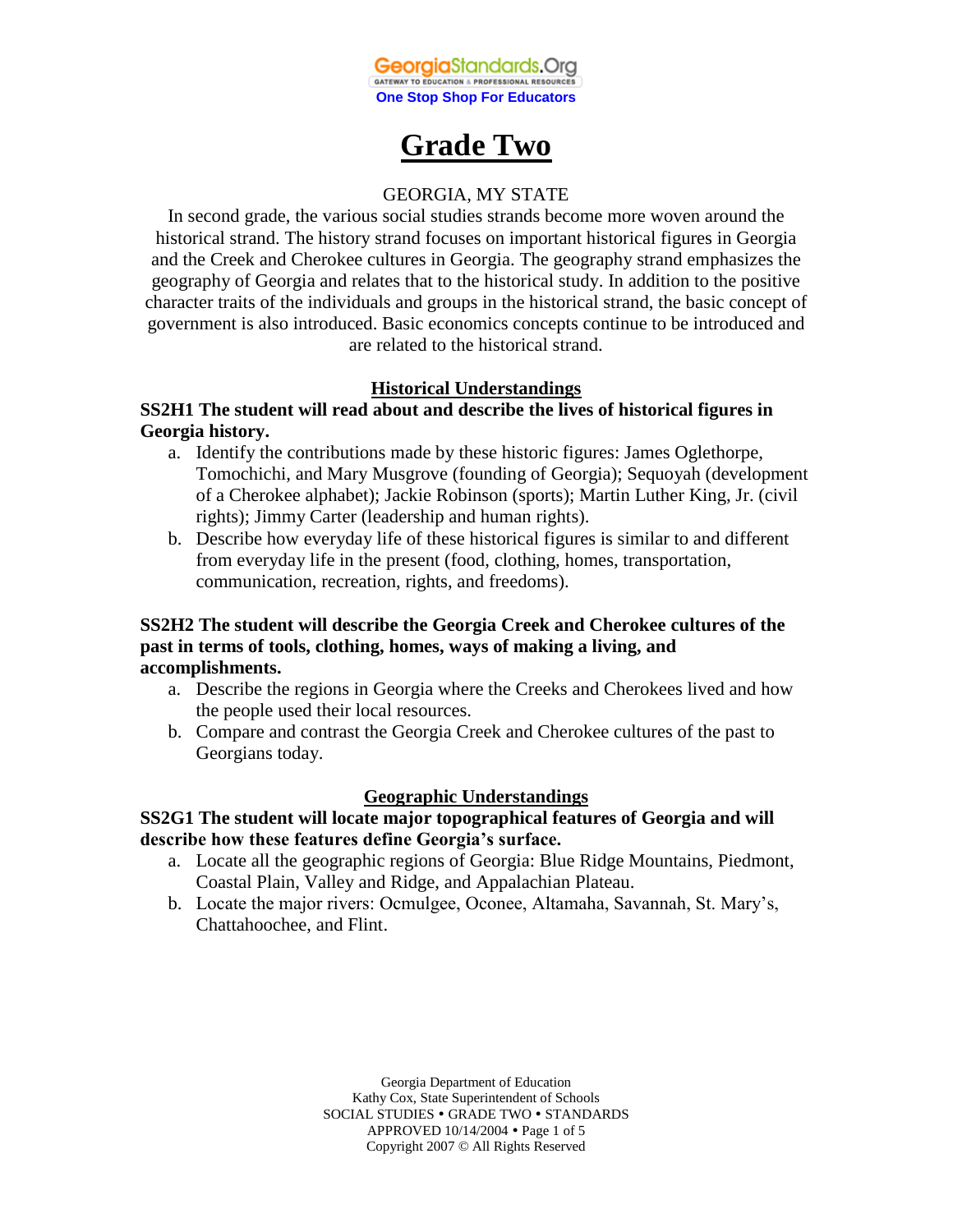

# **Grade Two**

### GEORGIA, MY STATE

In second grade, the various social studies strands become more woven around the historical strand. The history strand focuses on important historical figures in Georgia and the Creek and Cherokee cultures in Georgia. The geography strand emphasizes the geography of Georgia and relates that to the historical study. In addition to the positive character traits of the individuals and groups in the historical strand, the basic concept of government is also introduced. Basic economics concepts continue to be introduced and are related to the historical strand.

### **Historical Understandings**

### **SS2H1 The student will read about and describe the lives of historical figures in Georgia history.**

- a. Identify the contributions made by these historic figures: James Oglethorpe, Tomochichi, and Mary Musgrove (founding of Georgia); Sequoyah (development of a Cherokee alphabet); Jackie Robinson (sports); Martin Luther King, Jr. (civil rights); Jimmy Carter (leadership and human rights).
- b. Describe how everyday life of these historical figures is similar to and different from everyday life in the present (food, clothing, homes, transportation, communication, recreation, rights, and freedoms).

### **SS2H2 The student will describe the Georgia Creek and Cherokee cultures of the past in terms of tools, clothing, homes, ways of making a living, and accomplishments.**

- a. Describe the regions in Georgia where the Creeks and Cherokees lived and how the people used their local resources.
- b. Compare and contrast the Georgia Creek and Cherokee cultures of the past to Georgians today.

#### **Geographic Understandings**

### **SS2G1 The student will locate major topographical features of Georgia and will describe how these features define Georgia's surface.**

- a. Locate all the geographic regions of Georgia: Blue Ridge Mountains, Piedmont, Coastal Plain, Valley and Ridge, and Appalachian Plateau.
- b. Locate the major rivers: Ocmulgee, Oconee, Altamaha, Savannah, St. Mary's, Chattahoochee, and Flint.

Georgia Department of Education Kathy Cox, State Superintendent of Schools SOCIAL STUDIES . GRADE TWO . STANDARDS APPROVED 10/14/2004 Page 1 of 5 Copyright 2007 © All Rights Reserved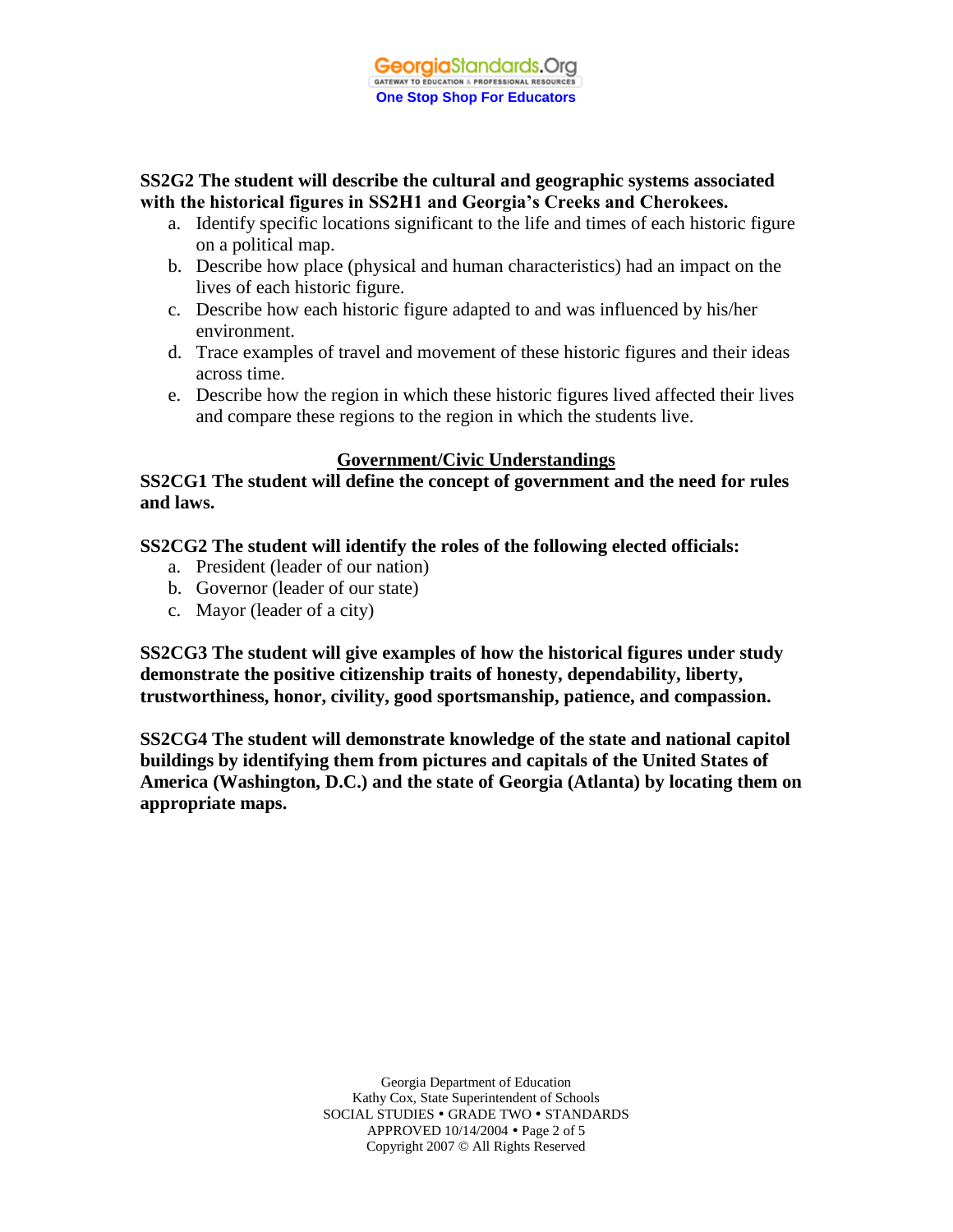## **SS2G2 The student will describe the cultural and geographic systems associated with the historical figures in SS2H1 and Georgia's Creeks and Cherokees.**

- a. Identify specific locations significant to the life and times of each historic figure on a political map.
- b. Describe how place (physical and human characteristics) had an impact on the lives of each historic figure.
- c. Describe how each historic figure adapted to and was influenced by his/her environment.
- d. Trace examples of travel and movement of these historic figures and their ideas across time.
- e. Describe how the region in which these historic figures lived affected their lives and compare these regions to the region in which the students live.

## **Government/Civic Understandings**

**SS2CG1 The student will define the concept of government and the need for rules and laws.** 

**SS2CG2 The student will identify the roles of the following elected officials:** 

- a. President (leader of our nation)
- b. Governor (leader of our state)
- c. Mayor (leader of a city)

**SS2CG3 The student will give examples of how the historical figures under study demonstrate the positive citizenship traits of honesty, dependability, liberty, trustworthiness, honor, civility, good sportsmanship, patience, and compassion.**

**SS2CG4 The student will demonstrate knowledge of the state and national capitol buildings by identifying them from pictures and capitals of the United States of America (Washington, D.C.) and the state of Georgia (Atlanta) by locating them on appropriate maps.** 

> Georgia Department of Education Kathy Cox, State Superintendent of Schools SOCIAL STUDIES . GRADE TWO . STANDARDS APPROVED 10/14/2004 Page 2 of 5 Copyright 2007 © All Rights Reserved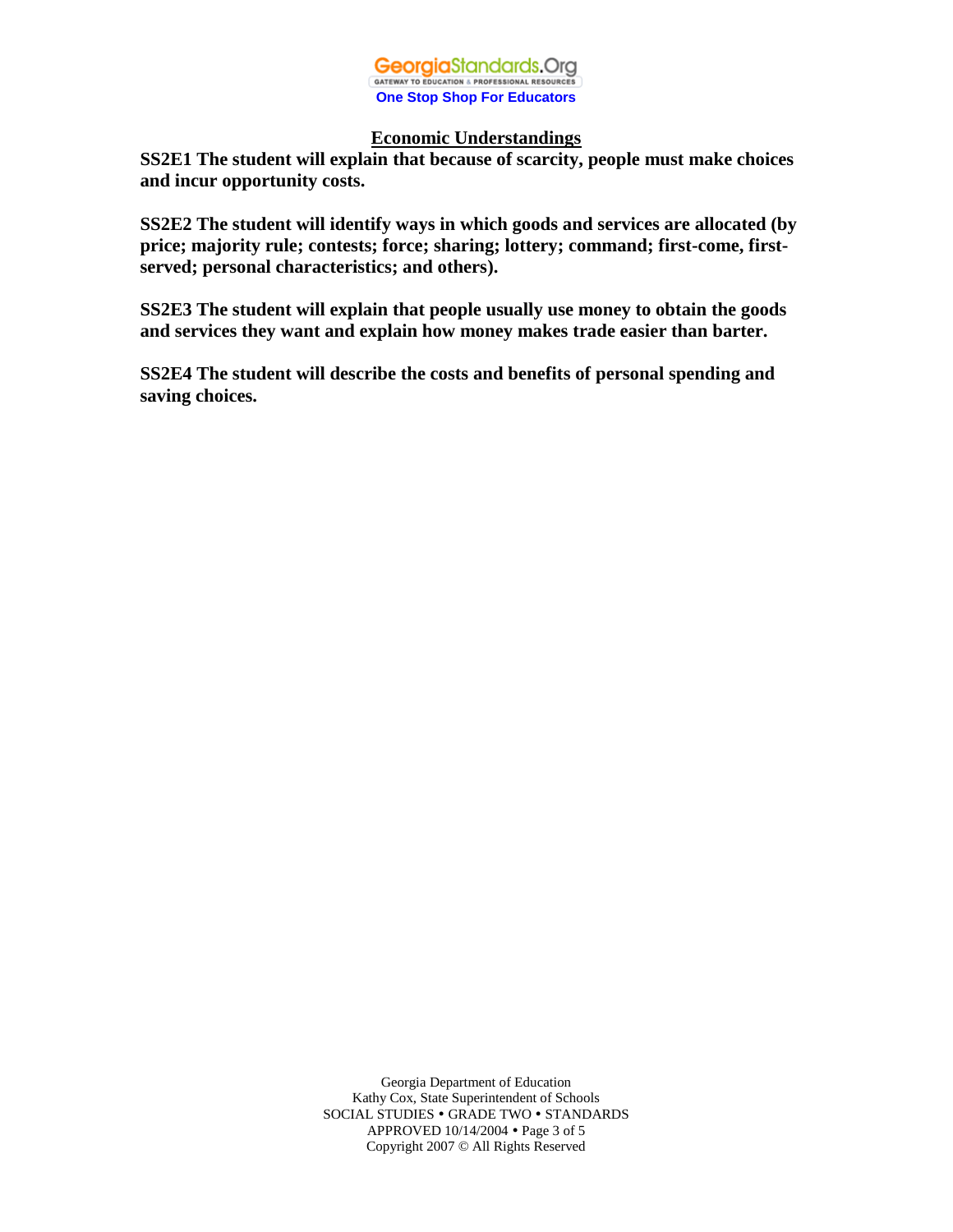

#### **Economic Understandings**

**SS2E1 The student will explain that because of scarcity, people must make choices and incur opportunity costs.** 

**SS2E2 The student will identify ways in which goods and services are allocated (by price; majority rule; contests; force; sharing; lottery; command; first-come, firstserved; personal characteristics; and others).** 

**SS2E3 The student will explain that people usually use money to obtain the goods and services they want and explain how money makes trade easier than barter.**

**SS2E4 The student will describe the costs and benefits of personal spending and saving choices.** 

> Georgia Department of Education Kathy Cox, State Superintendent of Schools SOCIAL STUDIES . GRADE TWO . STANDARDS APPROVED 10/14/2004 Page 3 of 5 Copyright 2007 © All Rights Reserved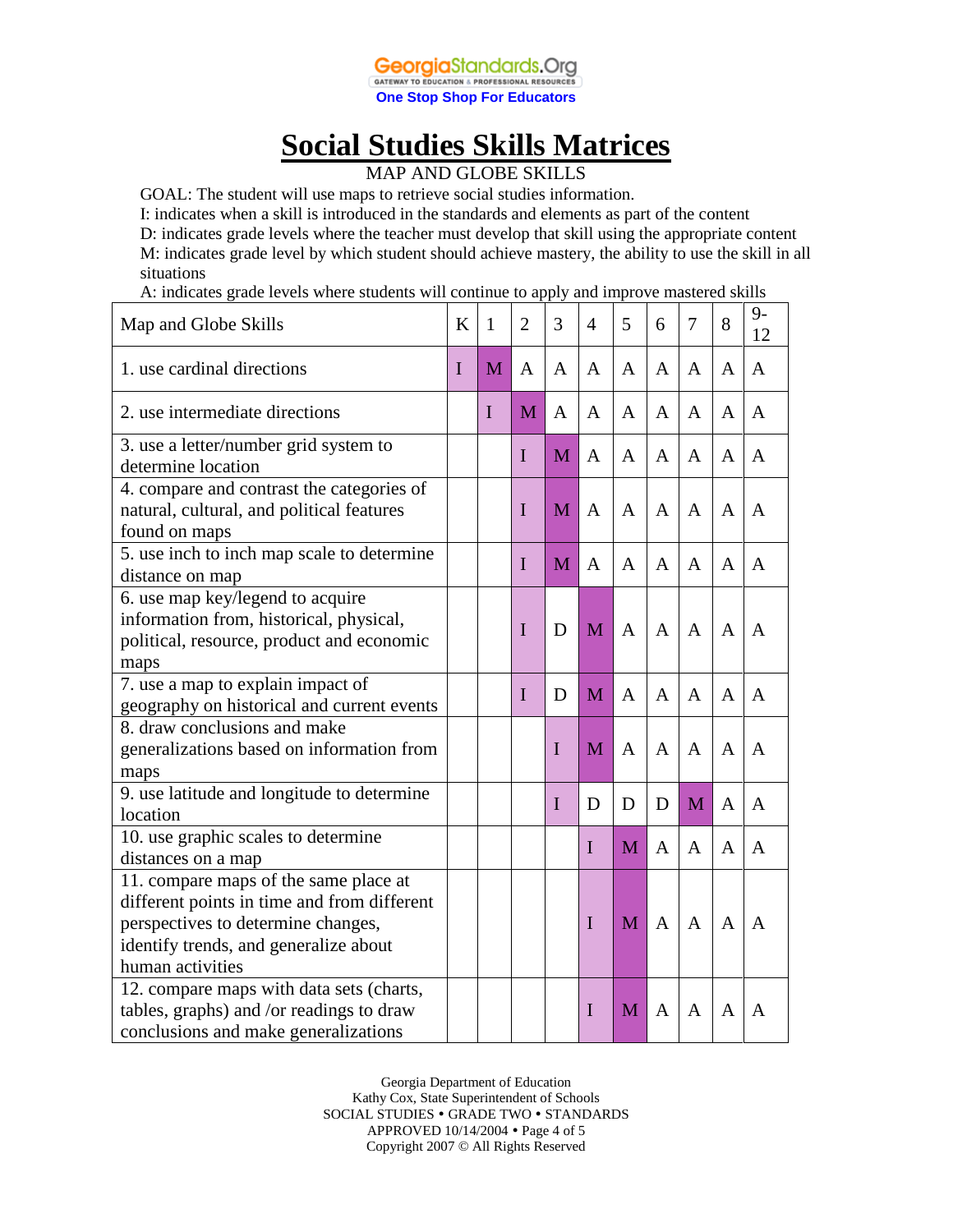

# **Social Studies Skills Matrices**

MAP AND GLOBE SKILLS

GOAL: The student will use maps to retrieve social studies information.

I: indicates when a skill is introduced in the standards and elements as part of the content

D: indicates grade levels where the teacher must develop that skill using the appropriate content M: indicates grade level by which student should achieve mastery, the ability to use the skill in all situations

A: indicates grade levels where students will continue to apply and improve mastered skills

| Map and Globe Skills                                                                                                                                                                    | K | 1           | $\overline{2}$ | 3           | 4            | 5            | 6              | 7 | 8              | $9-$<br>12   |
|-----------------------------------------------------------------------------------------------------------------------------------------------------------------------------------------|---|-------------|----------------|-------------|--------------|--------------|----------------|---|----------------|--------------|
| 1. use cardinal directions                                                                                                                                                              | I | M           | A              | A           | A            | A            | A              | A | $\mathbf{A}$   | $\mathbf{A}$ |
| 2. use intermediate directions                                                                                                                                                          |   | $\mathbf I$ | M              | A           | A            | A            | A              | A | A              | A            |
| 3. use a letter/number grid system to<br>determine location                                                                                                                             |   |             | I              | M           | A            | A            | $\mathbf{A}$   | A | A              | A            |
| 4. compare and contrast the categories of<br>natural, cultural, and political features<br>found on maps                                                                                 |   |             | I              | M           | A            | A            | $\mathsf{A}$   | A | A              | A            |
| 5. use inch to inch map scale to determine<br>distance on map                                                                                                                           |   |             | I              | M           | $\mathbf{A}$ | A            | A              | A | $\mathbf{A}$   | A            |
| 6. use map key/legend to acquire<br>information from, historical, physical,<br>political, resource, product and economic<br>maps                                                        |   |             | I              | D           | M            | $\mathbf{A}$ | $\overline{A}$ | A | $\overline{A}$ | A            |
| 7. use a map to explain impact of<br>geography on historical and current events                                                                                                         |   |             | I              | D           | M            | $\mathbf{A}$ | $\mathbf{A}$   | A | $\mathbf{A}$   | A            |
| 8. draw conclusions and make<br>generalizations based on information from<br>maps                                                                                                       |   |             |                | $\mathbf I$ | M            | $\mathbf{A}$ | $\mathbf{A}$   | A | $\mathbf{A}$   | A            |
| 9. use latitude and longitude to determine<br>location                                                                                                                                  |   |             |                | $\mathbf I$ | D            | D            | D              | M | A              | A            |
| 10. use graphic scales to determine<br>distances on a map                                                                                                                               |   |             |                |             | I            | M            | $\mathbf{A}$   | A | A              | A            |
| 11. compare maps of the same place at<br>different points in time and from different<br>perspectives to determine changes,<br>identify trends, and generalize about<br>human activities |   |             |                |             | $\mathbf I$  | M            | $\mathbf{A}$   | A | A              | A            |
| 12. compare maps with data sets (charts,<br>tables, graphs) and /or readings to draw<br>conclusions and make generalizations                                                            |   |             |                |             | I            | M            | A              | A | A              | A            |

Georgia Department of Education Kathy Cox, State Superintendent of Schools SOCIAL STUDIES . GRADE TWO . STANDARDS APPROVED 10/14/2004 Page 4 of 5 Copyright 2007 © All Rights Reserved